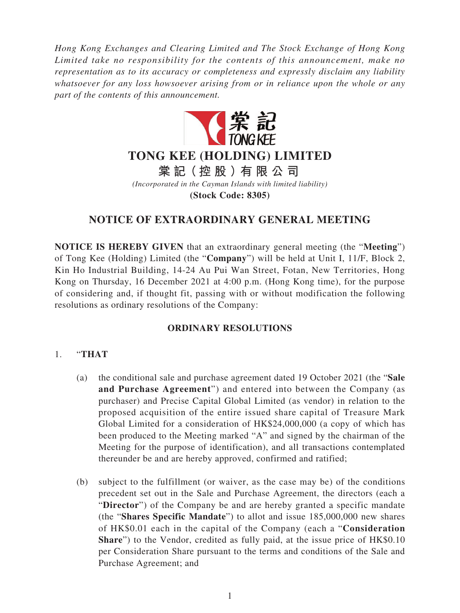*Hong Kong Exchanges and Clearing Limited and The Stock Exchange of Hong Kong Limited take no responsibility for the contents of this announcement, make no representation as to its accuracy or completeness and expressly disclaim any liability whatsoever for any loss howsoever arising from or in reliance upon the whole or any part of the contents of this announcement.*



# **TONG KEE (HOLDING) LIMITED**

**棠 記(控股)有限公司**

*(Incorporated in the Cayman Islands with limited liability)*

**(Stock Code: 8305)**

# **NOTICE OF EXTRAORDINARY GENERAL MEETING**

**NOTICE IS HEREBY GIVEN** that an extraordinary general meeting (the "**Meeting**") of Tong Kee (Holding) Limited (the "**Company**") will be held at Unit I, 11/F, Block 2, Kin Ho Industrial Building, 14-24 Au Pui Wan Street, Fotan, New Territories, Hong Kong on Thursday, 16 December 2021 at 4:00 p.m. (Hong Kong time), for the purpose of considering and, if thought fit, passing with or without modification the following resolutions as ordinary resolutions of the Company:

## **ORDINARY RESOLUTIONS**

### 1. "**THAT**

- (a) the conditional sale and purchase agreement dated 19 October 2021 (the "**Sale and Purchase Agreement**") and entered into between the Company (as purchaser) and Precise Capital Global Limited (as vendor) in relation to the proposed acquisition of the entire issued share capital of Treasure Mark Global Limited for a consideration of HK\$24,000,000 (a copy of which has been produced to the Meeting marked "A" and signed by the chairman of the Meeting for the purpose of identification), and all transactions contemplated thereunder be and are hereby approved, confirmed and ratified;
- (b) subject to the fulfillment (or waiver, as the case may be) of the conditions precedent set out in the Sale and Purchase Agreement, the directors (each a "**Director**") of the Company be and are hereby granted a specific mandate (the "**Shares Specific Mandate**") to allot and issue 185,000,000 new shares of HK\$0.01 each in the capital of the Company (each a "**Consideration Share**") to the Vendor, credited as fully paid, at the issue price of HK\$0.10 per Consideration Share pursuant to the terms and conditions of the Sale and Purchase Agreement; and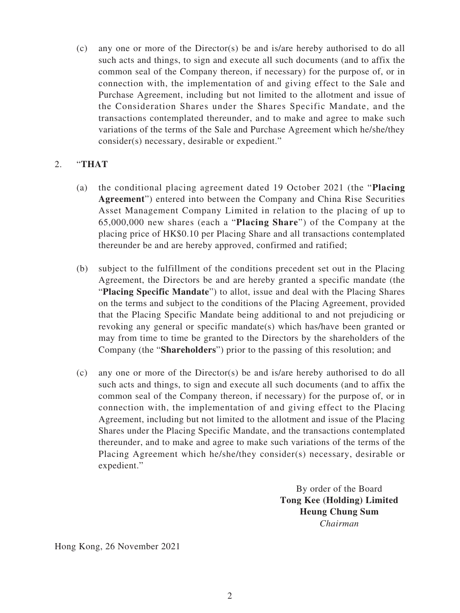(c) any one or more of the Director(s) be and is/are hereby authorised to do all such acts and things, to sign and execute all such documents (and to affix the common seal of the Company thereon, if necessary) for the purpose of, or in connection with, the implementation of and giving effect to the Sale and Purchase Agreement, including but not limited to the allotment and issue of the Consideration Shares under the Shares Specific Mandate, and the transactions contemplated thereunder, and to make and agree to make such variations of the terms of the Sale and Purchase Agreement which he/she/they consider(s) necessary, desirable or expedient."

### 2. "**THAT**

- (a) the conditional placing agreement dated 19 October 2021 (the "**Placing Agreement**") entered into between the Company and China Rise Securities Asset Management Company Limited in relation to the placing of up to 65,000,000 new shares (each a "**Placing Share**") of the Company at the placing price of HK\$0.10 per Placing Share and all transactions contemplated thereunder be and are hereby approved, confirmed and ratified;
- (b) subject to the fulfillment of the conditions precedent set out in the Placing Agreement, the Directors be and are hereby granted a specific mandate (the "**Placing Specific Mandate**") to allot, issue and deal with the Placing Shares on the terms and subject to the conditions of the Placing Agreement, provided that the Placing Specific Mandate being additional to and not prejudicing or revoking any general or specific mandate(s) which has/have been granted or may from time to time be granted to the Directors by the shareholders of the Company (the "**Shareholders**") prior to the passing of this resolution; and
- (c) any one or more of the Director(s) be and is/are hereby authorised to do all such acts and things, to sign and execute all such documents (and to affix the common seal of the Company thereon, if necessary) for the purpose of, or in connection with, the implementation of and giving effect to the Placing Agreement, including but not limited to the allotment and issue of the Placing Shares under the Placing Specific Mandate, and the transactions contemplated thereunder, and to make and agree to make such variations of the terms of the Placing Agreement which he/she/they consider(s) necessary, desirable or expedient."

By order of the Board **Tong Kee (Holding) Limited Heung Chung Sum** *Chairman*

Hong Kong, 26 November 2021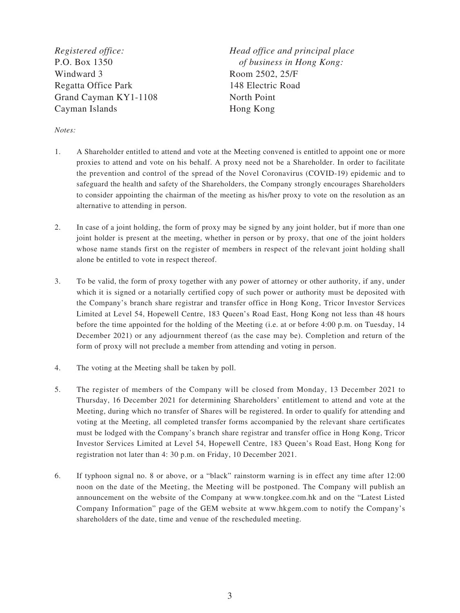*Registered office:* P.O. Box 1350 Windward 3 Regatta Office Park Grand Cayman KY1-1108 Cayman Islands

*Head office and principal place of business in Hong Kong:* Room 2502, 25/F 148 Electric Road North Point Hong Kong

#### *Notes:*

- 1. A Shareholder entitled to attend and vote at the Meeting convened is entitled to appoint one or more proxies to attend and vote on his behalf. A proxy need not be a Shareholder. In order to facilitate the prevention and control of the spread of the Novel Coronavirus (COVID-19) epidemic and to safeguard the health and safety of the Shareholders, the Company strongly encourages Shareholders to consider appointing the chairman of the meeting as his/her proxy to vote on the resolution as an alternative to attending in person.
- 2. In case of a joint holding, the form of proxy may be signed by any joint holder, but if more than one joint holder is present at the meeting, whether in person or by proxy, that one of the joint holders whose name stands first on the register of members in respect of the relevant joint holding shall alone be entitled to vote in respect thereof.
- 3. To be valid, the form of proxy together with any power of attorney or other authority, if any, under which it is signed or a notarially certified copy of such power or authority must be deposited with the Company's branch share registrar and transfer office in Hong Kong, Tricor Investor Services Limited at Level 54, Hopewell Centre, 183 Queen's Road East, Hong Kong not less than 48 hours before the time appointed for the holding of the Meeting (i.e. at or before 4:00 p.m. on Tuesday, 14 December 2021) or any adjournment thereof (as the case may be). Completion and return of the form of proxy will not preclude a member from attending and voting in person.
- 4. The voting at the Meeting shall be taken by poll.
- 5. The register of members of the Company will be closed from Monday, 13 December 2021 to Thursday, 16 December 2021 for determining Shareholders' entitlement to attend and vote at the Meeting, during which no transfer of Shares will be registered. In order to qualify for attending and voting at the Meeting, all completed transfer forms accompanied by the relevant share certificates must be lodged with the Company's branch share registrar and transfer office in Hong Kong, Tricor Investor Services Limited at Level 54, Hopewell Centre, 183 Queen's Road East, Hong Kong for registration not later than 4: 30 p.m. on Friday, 10 December 2021.
- 6. If typhoon signal no. 8 or above, or a "black" rainstorm warning is in effect any time after 12:00 noon on the date of the Meeting, the Meeting will be postponed. The Company will publish an announcement on the website of the Company at www.tongkee.com.hk and on the "Latest Listed Company Information" page of the GEM website at www.hkgem.com to notify the Company's shareholders of the date, time and venue of the rescheduled meeting.